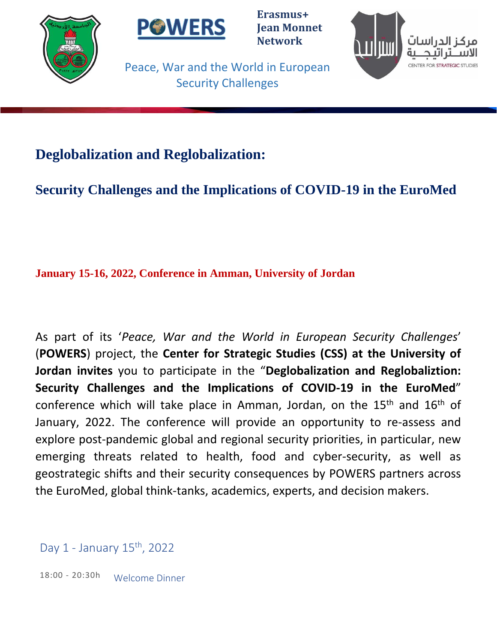



**Erasmus+ Jean Monnet Network**



Peace, War and the World in European Security Challenges

# **Deglobalization and Reglobalization:**

**Security Challenges and the Implications of COVID-19 in the EuroMed**

**January 15-16, 2022, Conference in Amman, University of Jordan**

As part of its '*Peace, War and the World in European Security Challenges*' (**POWERS**) project, the **Center for Strategic Studies (CSS) at the University of Jordan invites** you to participate in the "**Deglobalization and Reglobaliztion: Security Challenges and the Implications of COVID-19 in the EuroMed**" conference which will take place in Amman, Jordan, on the 15<sup>th</sup> and 16<sup>th</sup> of January, 2022. The conference will provide an opportunity to re-assess and explore post-pandemic global and regional security priorities, in particular, new emerging threats related to health, food and cyber-security, as well as geostrategic shifts and their security consequences by POWERS partners across the EuroMed, global think-tanks, academics, experts, and decision makers.

Day 1 - January 15th, 2022

18:00 - 20:30h Welcome Dinner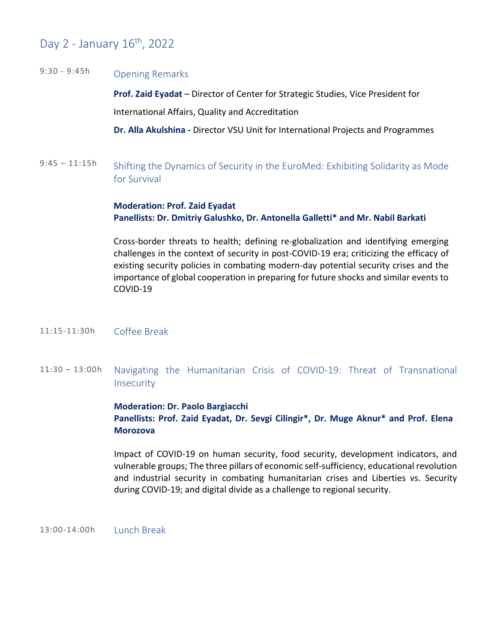# Day 2 - January 16th, 2022

### 9:30 - 9:45h Opening Remarks

**Prof. Zaid Eyadat** – Director of Center for Strategic Studies, Vice President for International Affairs, Quality and Accreditation

**[Dr. Alla Akulshina](http://powers-network.vsu.ru/en/experts/akulshina) -** Director VSU Unit for International Projects and Programmes

9:45 – 11:15h Shifting the Dynamics of Security in the EuroMed: Exhibiting Solidarity as Mode for Survival

> **Moderation: Prof. Zaid Eyadat Panellists: Dr. Dmitriy Galushko, Dr. Antonella Galletti\* and Mr. Nabil Barkati**

Cross-border threats to health; defining re-globalization and identifying emerging challenges in the context of security in post-COVID-19 era; criticizing the efficacy of existing security policies in combating modern-day potential security crises and the importance of global cooperation in preparing for future shocks and similar events to COVID-19

- 11:15-11:30h Coffee Break
- 11:30 13:00h Navigating the Humanitarian Crisis of COVID-19: Threat of Transnational **Insecurity**

**Moderation: Dr. Paolo Bargiacchi Panellists: Prof. Zaid Eyadat, Dr. Sevgi Cilingir\*, Dr. Muge Aknur\* and Prof. Elena Morozova**

Impact of COVID-19 on human security, food security, development indicators, and vulnerable groups; The three pillars of economic self-sufficiency, educational revolution and industrial security in combating humanitarian crises and Liberties vs. Security during COVID-19; and digital divide as a challenge to regional security.

13:00-14:00h Lunch Break